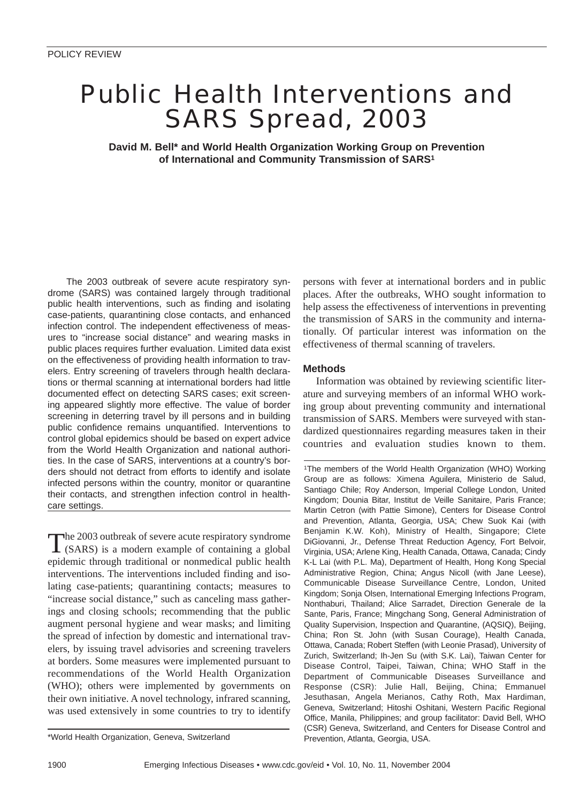# Public Health Interventions and SARS Spread, 2003

**David M. Bell\* and World Health Organization Working Group on Prevention of International and Community Transmission of SARS1**

The 2003 outbreak of severe acute respiratory syndrome (SARS) was contained largely through traditional public health interventions, such as finding and isolating case-patients, quarantining close contacts, and enhanced infection control. The independent effectiveness of measures to "increase social distance" and wearing masks in public places requires further evaluation. Limited data exist on the effectiveness of providing health information to travelers. Entry screening of travelers through health declarations or thermal scanning at international borders had little documented effect on detecting SARS cases; exit screening appeared slightly more effective. The value of border screening in deterring travel by ill persons and in building public confidence remains unquantified. Interventions to control global epidemics should be based on expert advice from the World Health Organization and national authorities. In the case of SARS, interventions at a country's borders should not detract from efforts to identify and isolate infected persons within the country, monitor or quarantine their contacts, and strengthen infection control in healthcare settings.

The 2003 outbreak of severe acute respiratory syndrome (SARS) is a modern example of containing a global epidemic through traditional or nonmedical public health interventions. The interventions included finding and isolating case-patients; quarantining contacts; measures to "increase social distance," such as canceling mass gatherings and closing schools; recommending that the public augment personal hygiene and wear masks; and limiting the spread of infection by domestic and international travelers, by issuing travel advisories and screening travelers at borders. Some measures were implemented pursuant to recommendations of the World Health Organization (WHO); others were implemented by governments on their own initiative. A novel technology, infrared scanning, was used extensively in some countries to try to identify

persons with fever at international borders and in public places. After the outbreaks, WHO sought information to help assess the effectiveness of interventions in preventing the transmission of SARS in the community and internationally. Of particular interest was information on the effectiveness of thermal scanning of travelers.

## **Methods**

Information was obtained by reviewing scientific literature and surveying members of an informal WHO working group about preventing community and international transmission of SARS. Members were surveyed with standardized questionnaires regarding measures taken in their countries and evaluation studies known to them.

1The members of the World Health Organization (WHO) Working Group are as follows: Ximena Aguilera, Ministerio de Salud, Santiago Chile; Roy Anderson, Imperial College London, United Kingdom; Dounia Bitar, Institut de Veille Sanitaire, Paris France; Martin Cetron (with Pattie Simone), Centers for Disease Control and Prevention, Atlanta, Georgia, USA; Chew Suok Kai (with Benjamin K.W. Koh), Ministry of Health, Singapore; Clete DiGiovanni, Jr., Defense Threat Reduction Agency, Fort Belvoir, Virginia, USA; Arlene King, Health Canada, Ottawa, Canada; Cindy K-L Lai (with P.L. Ma), Department of Health, Hong Kong Special Administrative Region, China; Angus Nicoll (with Jane Leese), Communicable Disease Surveillance Centre, London, United Kingdom; Sonja Olsen, International Emerging Infections Program, Nonthaburi, Thailand; Alice Sarradet, Direction Generale de la Sante, Paris, France; Mingchang Song, General Administration of Quality Supervision, Inspection and Quarantine, (AQSIQ), Beijing, China; Ron St. John (with Susan Courage), Health Canada, Ottawa, Canada; Robert Steffen (with Leonie Prasad), University of Zurich, Switzerland; Ih-Jen Su (with S.K. Lai), Taiwan Center for Disease Control, Taipei, Taiwan, China; WHO Staff in the Department of Communicable Diseases Surveillance and Response (CSR): Julie Hall, Beijing, China; Emmanuel Jesuthasan, Angela Merianos, Cathy Roth, Max Hardiman, Geneva, Switzerland; Hitoshi Oshitani, Western Pacific Regional Office, Manila, Philippines; and group facilitator: David Bell, WHO (CSR) Geneva, Switzerland, and Centers for Disease Control and

<sup>\*</sup>World Health Organization, Geneva, Switzerland Prevention, Atlanta, Georgia, USA.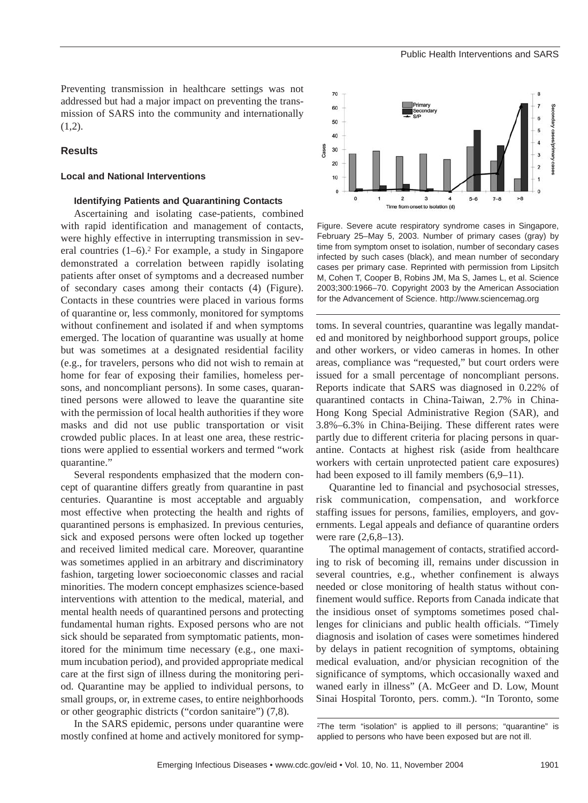Preventing transmission in healthcare settings was not addressed but had a major impact on preventing the transmission of SARS into the community and internationally  $(1,2)$ .

#### **Results**

### **Local and National Interventions**

### **Identifying Patients and Quarantining Contacts**

Ascertaining and isolating case-patients, combined with rapid identification and management of contacts, were highly effective in interrupting transmission in several countries  $(1-6)$ . For example, a study in Singapore demonstrated a correlation between rapidly isolating patients after onset of symptoms and a decreased number of secondary cases among their contacts (4) (Figure). Contacts in these countries were placed in various forms of quarantine or, less commonly, monitored for symptoms without confinement and isolated if and when symptoms emerged. The location of quarantine was usually at home but was sometimes at a designated residential facility (e.g., for travelers, persons who did not wish to remain at home for fear of exposing their families, homeless persons, and noncompliant persons). In some cases, quarantined persons were allowed to leave the quarantine site with the permission of local health authorities if they wore masks and did not use public transportation or visit crowded public places. In at least one area, these restrictions were applied to essential workers and termed "work quarantine."

Several respondents emphasized that the modern concept of quarantine differs greatly from quarantine in past centuries. Quarantine is most acceptable and arguably most effective when protecting the health and rights of quarantined persons is emphasized. In previous centuries, sick and exposed persons were often locked up together and received limited medical care. Moreover, quarantine was sometimes applied in an arbitrary and discriminatory fashion, targeting lower socioeconomic classes and racial minorities. The modern concept emphasizes science-based interventions with attention to the medical, material, and mental health needs of quarantined persons and protecting fundamental human rights. Exposed persons who are not sick should be separated from symptomatic patients, monitored for the minimum time necessary (e.g., one maximum incubation period), and provided appropriate medical care at the first sign of illness during the monitoring period. Quarantine may be applied to individual persons, to small groups, or, in extreme cases, to entire neighborhoods or other geographic districts ("cordon sanitaire") (7,8).

In the SARS epidemic, persons under quarantine were mostly confined at home and actively monitored for symp-



Figure. Severe acute respiratory syndrome cases in Singapore, February 25–May 5, 2003. Number of primary cases (gray) by time from symptom onset to isolation, number of secondary cases infected by such cases (black), and mean number of secondary cases per primary case. Reprinted with permission from Lipsitch M, Cohen T, Cooper B, Robins JM, Ma S, James L, et al. Science 2003;300:1966–70. Copyright 2003 by the American Association for the Advancement of Science. http://www.sciencemag.org

toms. In several countries, quarantine was legally mandated and monitored by neighborhood support groups, police and other workers, or video cameras in homes. In other areas, compliance was "requested," but court orders were issued for a small percentage of noncompliant persons. Reports indicate that SARS was diagnosed in 0.22% of quarantined contacts in China-Taiwan, 2.7% in China-Hong Kong Special Administrative Region (SAR), and 3.8%–6.3% in China-Beijing. These different rates were partly due to different criteria for placing persons in quarantine. Contacts at highest risk (aside from healthcare workers with certain unprotected patient care exposures) had been exposed to ill family members  $(6,9–11)$ .

Quarantine led to financial and psychosocial stresses, risk communication, compensation, and workforce staffing issues for persons, families, employers, and governments. Legal appeals and defiance of quarantine orders were rare (2,6,8–13).

The optimal management of contacts, stratified according to risk of becoming ill, remains under discussion in several countries, e.g., whether confinement is always needed or close monitoring of health status without confinement would suffice. Reports from Canada indicate that the insidious onset of symptoms sometimes posed challenges for clinicians and public health officials. "Timely diagnosis and isolation of cases were sometimes hindered by delays in patient recognition of symptoms, obtaining medical evaluation, and/or physician recognition of the significance of symptoms, which occasionally waxed and waned early in illness" (A. McGeer and D. Low, Mount Sinai Hospital Toronto, pers. comm.). "In Toronto, some

<sup>2</sup>The term "isolation" is applied to ill persons; "quarantine" is applied to persons who have been exposed but are not ill.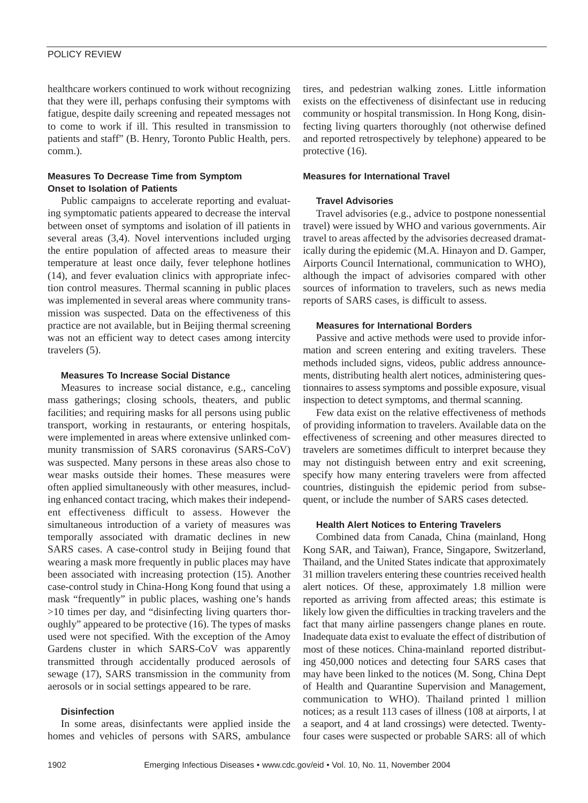## POLICY REVIEW

healthcare workers continued to work without recognizing that they were ill, perhaps confusing their symptoms with fatigue, despite daily screening and repeated messages not to come to work if ill. This resulted in transmission to patients and staff" (B. Henry, Toronto Public Health, pers. comm.).

# **Measures To Decrease Time from Symptom Onset to Isolation of Patients**

Public campaigns to accelerate reporting and evaluating symptomatic patients appeared to decrease the interval between onset of symptoms and isolation of ill patients in several areas (3,4). Novel interventions included urging the entire population of affected areas to measure their temperature at least once daily, fever telephone hotlines (14), and fever evaluation clinics with appropriate infection control measures. Thermal scanning in public places was implemented in several areas where community transmission was suspected. Data on the effectiveness of this practice are not available, but in Beijing thermal screening was not an efficient way to detect cases among intercity travelers (5).

# **Measures To Increase Social Distance**

Measures to increase social distance, e.g., canceling mass gatherings; closing schools, theaters, and public facilities; and requiring masks for all persons using public transport, working in restaurants, or entering hospitals, were implemented in areas where extensive unlinked community transmission of SARS coronavirus (SARS-CoV) was suspected. Many persons in these areas also chose to wear masks outside their homes. These measures were often applied simultaneously with other measures, including enhanced contact tracing, which makes their independent effectiveness difficult to assess. However the simultaneous introduction of a variety of measures was temporally associated with dramatic declines in new SARS cases. A case-control study in Beijing found that wearing a mask more frequently in public places may have been associated with increasing protection (15). Another case-control study in China-Hong Kong found that using a mask "frequently" in public places, washing one's hands >10 times per day, and "disinfecting living quarters thoroughly" appeared to be protective (16). The types of masks used were not specified. With the exception of the Amoy Gardens cluster in which SARS-CoV was apparently transmitted through accidentally produced aerosols of sewage (17), SARS transmission in the community from aerosols or in social settings appeared to be rare.

# **Disinfection**

In some areas, disinfectants were applied inside the homes and vehicles of persons with SARS, ambulance

tires, and pedestrian walking zones. Little information exists on the effectiveness of disinfectant use in reducing community or hospital transmission. In Hong Kong, disinfecting living quarters thoroughly (not otherwise defined and reported retrospectively by telephone) appeared to be protective (16).

## **Measures for International Travel**

## **Travel Advisories**

Travel advisories (e.g., advice to postpone nonessential travel) were issued by WHO and various governments. Air travel to areas affected by the advisories decreased dramatically during the epidemic (M.A. Hinayon and D. Gamper, Airports Council International, communication to WHO), although the impact of advisories compared with other sources of information to travelers, such as news media reports of SARS cases, is difficult to assess.

## **Measures for International Borders**

Passive and active methods were used to provide information and screen entering and exiting travelers. These methods included signs, videos, public address announcements, distributing health alert notices, administering questionnaires to assess symptoms and possible exposure, visual inspection to detect symptoms, and thermal scanning.

Few data exist on the relative effectiveness of methods of providing information to travelers. Available data on the effectiveness of screening and other measures directed to travelers are sometimes difficult to interpret because they may not distinguish between entry and exit screening, specify how many entering travelers were from affected countries, distinguish the epidemic period from subsequent, or include the number of SARS cases detected.

## **Health Alert Notices to Entering Travelers**

Combined data from Canada, China (mainland, Hong Kong SAR, and Taiwan), France, Singapore, Switzerland, Thailand, and the United States indicate that approximately 31 million travelers entering these countries received health alert notices. Of these, approximately 1.8 million were reported as arriving from affected areas; this estimate is likely low given the difficulties in tracking travelers and the fact that many airline passengers change planes en route. Inadequate data exist to evaluate the effect of distribution of most of these notices. China-mainland reported distributing 450,000 notices and detecting four SARS cases that may have been linked to the notices (M. Song, China Dept of Health and Quarantine Supervision and Management, communication to WHO). Thailand printed l million notices; as a result 113 cases of illness (108 at airports, l at a seaport, and 4 at land crossings) were detected. Twentyfour cases were suspected or probable SARS: all of which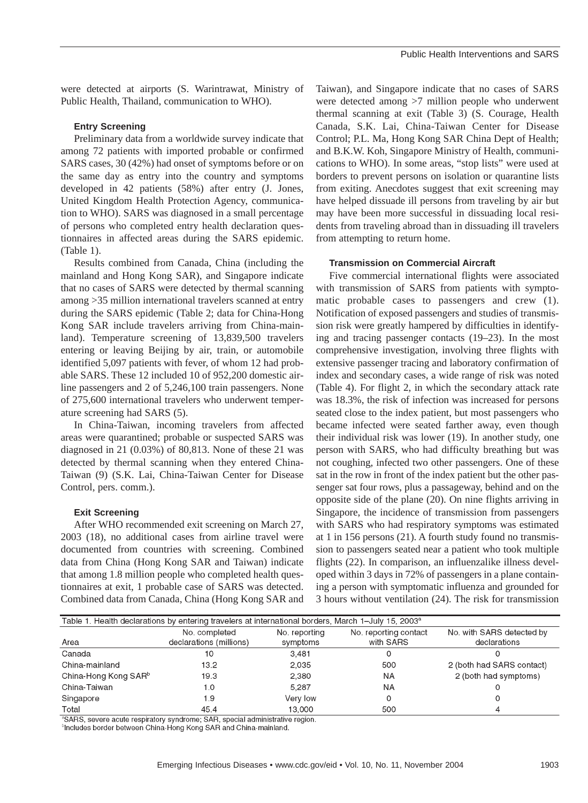were detected at airports (S. Warintrawat, Ministry of Public Health, Thailand, communication to WHO).

### **Entry Screening**

Preliminary data from a worldwide survey indicate that among 72 patients with imported probable or confirmed SARS cases, 30 (42%) had onset of symptoms before or on the same day as entry into the country and symptoms developed in 42 patients (58%) after entry (J. Jones, United Kingdom Health Protection Agency, communication to WHO). SARS was diagnosed in a small percentage of persons who completed entry health declaration questionnaires in affected areas during the SARS epidemic. (Table 1).

Results combined from Canada, China (including the mainland and Hong Kong SAR), and Singapore indicate that no cases of SARS were detected by thermal scanning among >35 million international travelers scanned at entry during the SARS epidemic (Table 2; data for China-Hong Kong SAR include travelers arriving from China-mainland). Temperature screening of 13,839,500 travelers entering or leaving Beijing by air, train, or automobile identified 5,097 patients with fever, of whom 12 had probable SARS. These 12 included 10 of 952,200 domestic airline passengers and 2 of 5,246,100 train passengers. None of 275,600 international travelers who underwent temperature screening had SARS (5).

In China-Taiwan, incoming travelers from affected areas were quarantined; probable or suspected SARS was diagnosed in 21 (0.03%) of 80,813. None of these 21 was detected by thermal scanning when they entered China-Taiwan (9) (S.K. Lai, China-Taiwan Center for Disease Control, pers. comm.).

#### **Exit Screening**

After WHO recommended exit screening on March 27, 2003 (18), no additional cases from airline travel were documented from countries with screening. Combined data from China (Hong Kong SAR and Taiwan) indicate that among 1.8 million people who completed health questionnaires at exit, 1 probable case of SARS was detected. Combined data from Canada, China (Hong Kong SAR and

Taiwan), and Singapore indicate that no cases of SARS were detected among >7 million people who underwent thermal scanning at exit (Table 3) (S. Courage, Health Canada, S.K. Lai, China-Taiwan Center for Disease Control; P.L. Ma, Hong Kong SAR China Dept of Health; and B.K.W. Koh, Singapore Ministry of Health, communications to WHO). In some areas, "stop lists" were used at borders to prevent persons on isolation or quarantine lists from exiting. Anecdotes suggest that exit screening may have helped dissuade ill persons from traveling by air but may have been more successful in dissuading local residents from traveling abroad than in dissuading ill travelers from attempting to return home.

#### **Transmission on Commercial Aircraft**

Five commercial international flights were associated with transmission of SARS from patients with symptomatic probable cases to passengers and crew (1). Notification of exposed passengers and studies of transmission risk were greatly hampered by difficulties in identifying and tracing passenger contacts (19–23). In the most comprehensive investigation, involving three flights with extensive passenger tracing and laboratory confirmation of index and secondary cases, a wide range of risk was noted (Table 4). For flight 2, in which the secondary attack rate was 18.3%, the risk of infection was increased for persons seated close to the index patient, but most passengers who became infected were seated farther away, even though their individual risk was lower (19). In another study, one person with SARS, who had difficulty breathing but was not coughing, infected two other passengers. One of these sat in the row in front of the index patient but the other passenger sat four rows, plus a passageway, behind and on the opposite side of the plane (20). On nine flights arriving in Singapore, the incidence of transmission from passengers with SARS who had respiratory symptoms was estimated at 1 in 156 persons (21). A fourth study found no transmission to passengers seated near a patient who took multiple flights (22). In comparison, an influenzalike illness developed within 3 days in 72% of passengers in a plane containing a person with symptomatic influenza and grounded for 3 hours without ventilation (24). The risk for transmission

| Table 1. Health declarations by entering travelers at international borders, March 1–July 15, 2003ª |                         |               |                       |                           |  |
|-----------------------------------------------------------------------------------------------------|-------------------------|---------------|-----------------------|---------------------------|--|
|                                                                                                     | No. completed           | No. reporting | No. reporting contact | No. with SARS detected by |  |
| Area                                                                                                | declarations (millions) | symptoms      | with SARS             | declarations              |  |
| Canada                                                                                              | 10                      | 3.481         |                       |                           |  |
| China-mainland                                                                                      | 13.2                    | 2,035         | 500                   | 2 (both had SARS contact) |  |
| China-Hong Kong SAR <sup>b</sup>                                                                    | 19.3                    | 2.380         | ΝA                    | 2 (both had symptoms)     |  |
| China-Taiwan                                                                                        | 1.0                     | 5.287         | ΝA                    |                           |  |
| Singapore                                                                                           | 1.9                     | Very low      |                       |                           |  |
| Total                                                                                               | 45.4                    | 13.000        | 500                   |                           |  |

<sup>a</sup>SARS, severe acute respiratory syndrome; SAR, special administrative region.

<sup>b</sup>Includes border between China-Hong Kong SAR and China-mainland.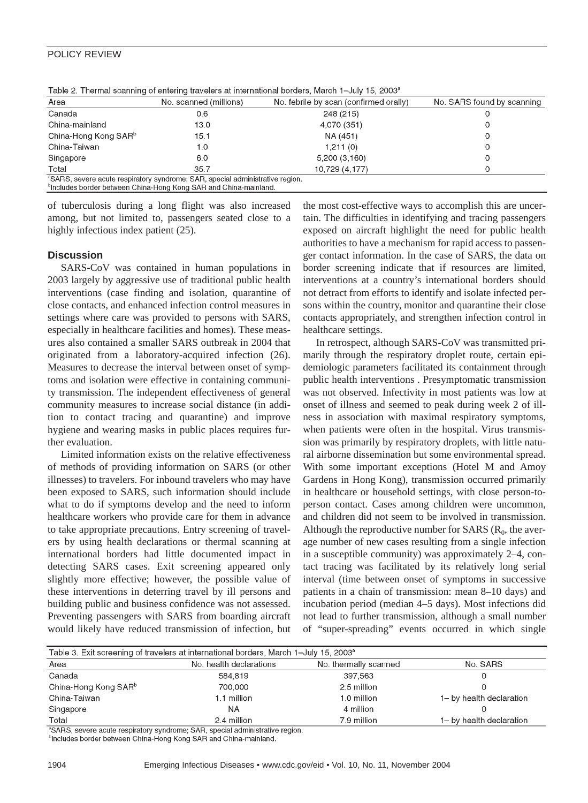## POLICY REVIEW

| Area                             | No. scanned (millions)                                                                    | No. febrile by scan (confirmed orally) | No. SARS found by scanning |
|----------------------------------|-------------------------------------------------------------------------------------------|----------------------------------------|----------------------------|
| Canada                           | 0.6                                                                                       | 248 (215)                              |                            |
| China-mainland                   | 13.0                                                                                      | 4,070 (351)                            |                            |
| China-Hong Kong SAR <sup>b</sup> | 15.1                                                                                      | NA (451)                               |                            |
| China-Taiwan                     | 1.0                                                                                       | 1,211(0)                               |                            |
| Singapore                        | 6.0                                                                                       | 5,200(3,160)                           |                            |
| Total                            | 35.7                                                                                      | 10,729 (4,177)                         |                            |
|                                  | <sup>a</sup> SARS, severe acute respiratory syndrome; SAR, special administrative region. |                                        |                            |
|                                  | <sup>b</sup> includes border between China-Hong Kong SAR and China-mainland.              |                                        |                            |

Table 2. Thermal scanning of entering travelers at international borders. March 1-July 15, 2003<sup>°</sup>

of tuberculosis during a long flight was also increased among, but not limited to, passengers seated close to a highly infectious index patient (25).

## **Discussion**

SARS-CoV was contained in human populations in 2003 largely by aggressive use of traditional public health interventions (case finding and isolation, quarantine of close contacts, and enhanced infection control measures in settings where care was provided to persons with SARS, especially in healthcare facilities and homes). These measures also contained a smaller SARS outbreak in 2004 that originated from a laboratory-acquired infection (26). Measures to decrease the interval between onset of symptoms and isolation were effective in containing community transmission. The independent effectiveness of general community measures to increase social distance (in addition to contact tracing and quarantine) and improve hygiene and wearing masks in public places requires further evaluation.

Limited information exists on the relative effectiveness of methods of providing information on SARS (or other illnesses) to travelers. For inbound travelers who may have been exposed to SARS, such information should include what to do if symptoms develop and the need to inform healthcare workers who provide care for them in advance to take appropriate precautions. Entry screening of travelers by using health declarations or thermal scanning at international borders had little documented impact in detecting SARS cases. Exit screening appeared only slightly more effective; however, the possible value of these interventions in deterring travel by ill persons and building public and business confidence was not assessed. Preventing passengers with SARS from boarding aircraft would likely have reduced transmission of infection, but

the most cost-effective ways to accomplish this are uncertain. The difficulties in identifying and tracing passengers exposed on aircraft highlight the need for public health authorities to have a mechanism for rapid access to passenger contact information. In the case of SARS, the data on border screening indicate that if resources are limited, interventions at a country's international borders should not detract from efforts to identify and isolate infected persons within the country, monitor and quarantine their close contacts appropriately, and strengthen infection control in healthcare settings.

In retrospect, although SARS-CoV was transmitted primarily through the respiratory droplet route, certain epidemiologic parameters facilitated its containment through public health interventions . Presymptomatic transmission was not observed. Infectivity in most patients was low at onset of illness and seemed to peak during week 2 of illness in association with maximal respiratory symptoms, when patients were often in the hospital. Virus transmission was primarily by respiratory droplets, with little natural airborne dissemination but some environmental spread. With some important exceptions (Hotel M and Amoy Gardens in Hong Kong), transmission occurred primarily in healthcare or household settings, with close person-toperson contact. Cases among children were uncommon, and children did not seem to be involved in transmission. Although the reproductive number for SARS  $(R_0,$  the average number of new cases resulting from a single infection in a susceptible community) was approximately 2–4, contact tracing was facilitated by its relatively long serial interval (time between onset of symptoms in successive patients in a chain of transmission: mean 8–10 days) and incubation period (median 4–5 days). Most infections did not lead to further transmission, although a small number of "super-spreading" events occurred in which single

| Table 3. Exit screening of travelers at international borders, March 1-July 15, 2003 <sup>a</sup> |                         |                       |                          |  |
|---------------------------------------------------------------------------------------------------|-------------------------|-----------------------|--------------------------|--|
| Area                                                                                              | No. health declarations | No. thermally scanned | No. SARS                 |  |
| Canada                                                                                            | 584,819                 | 397.563               |                          |  |
| China-Hong Kong SAR <sup>b</sup>                                                                  | 700,000                 | 2.5 million           |                          |  |
| China-Taiwan                                                                                      | l 1 million             | 1.0 million           | 1- by health declaration |  |
| Singapore                                                                                         | <b>NA</b>               | 4 million             |                          |  |
| Total                                                                                             | 2.4 million             | 7.9 million           | 1– by health declaration |  |

SARS, severe acute respiratory syndrome; SAR, special administrative region.

<sup>b</sup>Includes border between China-Hong Kong SAR and China-mainland.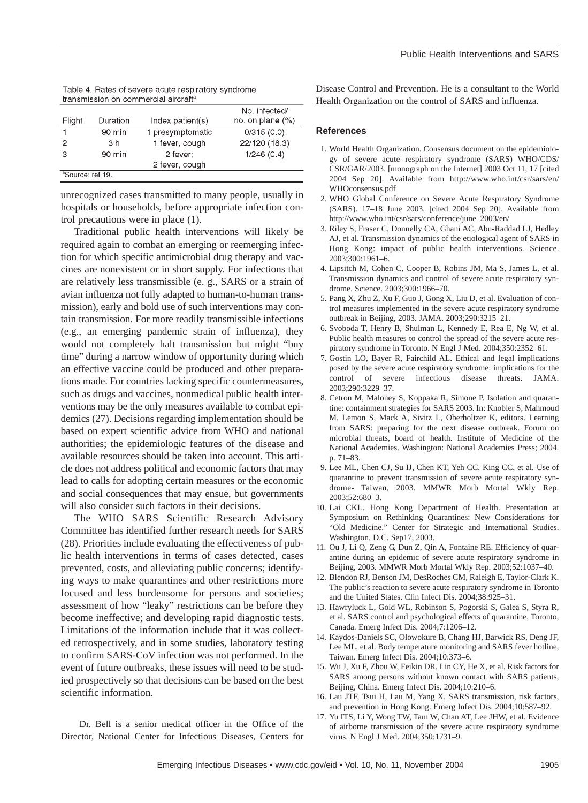| Table 4. Rates of severe acute respiratory syndrome |
|-----------------------------------------------------|
| transmission on commercial aircraft <sup>a</sup>    |

|                              |                |                  | No. infected/       |
|------------------------------|----------------|------------------|---------------------|
| Flight                       | Duration       | Index patient(s) | no. on plane $(\%)$ |
|                              | 90 min         | 1 presymptomatic | 0/315(0.0)          |
| 2                            | 3 <sub>h</sub> | 1 fever, cough   | 22/120 (18.3)       |
| З                            | 90 min         | 2 fever:         | 1/246(0.4)          |
|                              |                | 2 fever, cough   |                     |
| <sup>a</sup> Source: ref 19. |                |                  |                     |

unrecognized cases transmitted to many people, usually in hospitals or households, before appropriate infection control precautions were in place (1).

Traditional public health interventions will likely be required again to combat an emerging or reemerging infection for which specific antimicrobial drug therapy and vaccines are nonexistent or in short supply. For infections that are relatively less transmissible (e. g., SARS or a strain of avian influenza not fully adapted to human-to-human transmission), early and bold use of such interventions may contain transmission. For more readily transmissible infections (e.g., an emerging pandemic strain of influenza), they would not completely halt transmission but might "buy time" during a narrow window of opportunity during which an effective vaccine could be produced and other preparations made. For countries lacking specific countermeasures, such as drugs and vaccines, nonmedical public health interventions may be the only measures available to combat epidemics (27). Decisions regarding implementation should be based on expert scientific advice from WHO and national authorities; the epidemiologic features of the disease and available resources should be taken into account. This article does not address political and economic factors that may lead to calls for adopting certain measures or the economic and social consequences that may ensue, but governments will also consider such factors in their decisions.

The WHO SARS Scientific Research Advisory Committee has identified further research needs for SARS (28). Priorities include evaluating the effectiveness of public health interventions in terms of cases detected, cases prevented, costs, and alleviating public concerns; identifying ways to make quarantines and other restrictions more focused and less burdensome for persons and societies; assessment of how "leaky" restrictions can be before they become ineffective; and developing rapid diagnostic tests. Limitations of the information include that it was collected retrospectively, and in some studies, laboratory testing to confirm SARS-CoV infection was not performed. In the event of future outbreaks, these issues will need to be studied prospectively so that decisions can be based on the best scientific information.

Dr. Bell is a senior medical officer in the Office of the Director, National Center for Infectious Diseases, Centers for

Disease Control and Prevention. He is a consultant to the World Health Organization on the control of SARS and influenza.

### **References**

- 1. World Health Organization. Consensus document on the epidemiology of severe acute respiratory syndrome (SARS) WHO/CDS/ CSR/GAR/2003. [monograph on the Internet] 2003 Oct 11, 17 [cited 2004 Sep 20]. Available from http://www.who.int/csr/sars/en/ WHOconsensus.pdf
- 2. WHO Global Conference on Severe Acute Respiratory Syndrome (SARS). 17–18 June 2003. [cited 2004 Sep 20]. Available from http://www.who.int/csr/sars/conference/june\_2003/en/
- 3. Riley S, Fraser C, Donnelly CA, Ghani AC, Abu-Raddad LJ, Hedley AJ, et al. Transmission dynamics of the etiological agent of SARS in Hong Kong: impact of public health interventions. Science. 2003;300:1961–6.
- 4. Lipsitch M, Cohen C, Cooper B, Robins JM, Ma S, James L, et al. Transmission dynamics and control of severe acute respiratory syndrome. Science. 2003;300:1966–70.
- 5. Pang X, Zhu Z, Xu F, Guo J, Gong X, Liu D, et al. Evaluation of control measures implemented in the severe acute respiratory syndrome outbreak in Beijing, 2003. JAMA. 2003;290:3215–21.
- 6. Svoboda T, Henry B, Shulman L, Kennedy E, Rea E, Ng W, et al. Public health measures to control the spread of the severe acute respiratory syndrome in Toronto. N Engl J Med. 2004;350:2352–61.
- 7. Gostin LO, Bayer R, Fairchild AL. Ethical and legal implications posed by the severe acute respiratory syndrome: implications for the control of severe infectious disease threats. JAMA. 2003;290:3229–37.
- 8. Cetron M, Maloney S, Koppaka R, Simone P. Isolation and quarantine: containment strategies for SARS 2003. In: Knobler S, Mahmoud M, Lemon S, Mack A, Sivitz L, Oberholtzer K, editors. Learning from SARS: preparing for the next disease outbreak. Forum on microbial threats, board of health. Institute of Medicine of the National Academies. Washington: National Academies Press; 2004. p. 71–83.
- 9. Lee ML, Chen CJ, Su IJ, Chen KT, Yeh CC, King CC, et al. Use of quarantine to prevent transmission of severe acute respiratory syndrome- Taiwan, 2003. MMWR Morb Mortal Wkly Rep. 2003;52:680–3.
- 10. Lai CKL. Hong Kong Department of Health. Presentation at Symposium on Rethinking Quarantines: New Considerations for "Old Medicine." Center for Strategic and International Studies. Washington, D.C. Sep17, 2003.
- 11. Ou J, Li Q, Zeng G, Dun Z, Qin A, Fontaine RE. Efficiency of quarantine during an epidemic of severe acute respiratory syndrome in Beijing, 2003. MMWR Morb Mortal Wkly Rep. 2003;52:1037–40.
- 12. Blendon RJ, Benson JM, DesRoches CM, Raleigh E, Taylor-Clark K. The public's reaction to severe acute respiratory syndrome in Toronto and the United States. Clin Infect Dis. 2004;38:925–31.
- 13. Hawryluck L, Gold WL, Robinson S, Pogorski S, Galea S, Styra R, et al. SARS control and psychological effects of quarantine, Toronto, Canada. Emerg Infect Dis. 2004;7:1206–12.
- 14. Kaydos-Daniels SC, Olowokure B, Chang HJ, Barwick RS, Deng JF, Lee ML, et al. Body temperature monitoring and SARS fever hotline, Taiwan. Emerg Infect Dis. 2004;10:373–6.
- 15. Wu J, Xu F, Zhou W, Feikin DR, Lin CY, He X, et al. Risk factors for SARS among persons without known contact with SARS patients, Beijing, China. Emerg Infect Dis. 2004;10:210–6.
- 16. Lau JTF, Tsui H, Lau M, Yang X. SARS transmission, risk factors, and prevention in Hong Kong. Emerg Infect Dis. 2004;10:587–92.
- 17. Yu ITS, Li Y, Wong TW, Tam W, Chan AT, Lee JHW, et al. Evidence of airborne transmission of the severe acute respiratory syndrome virus. N Engl J Med. 2004;350:1731–9.